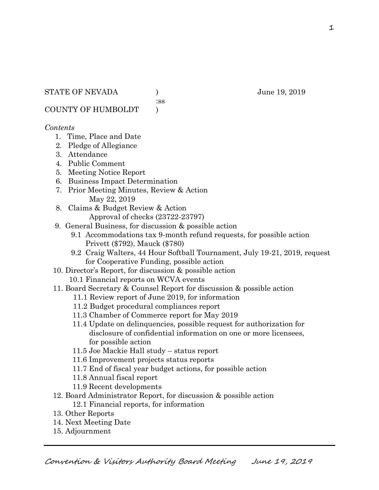:ss

COUNTY OF HUMBOLDT )

# *Contents*

- 1. Time, Place and Date
- 2. Pledge of Allegiance
- 3. Attendance
- 4. Public Comment
- 5. Meeting Notice Report
- 6. Business Impact Determination
- 7. Prior Meeting Minutes, Review & Action May 22, 2019
- 8. Claims & Budget Review & Action
	- Approval of checks (23722-23797)
- 9. General Business, for discussion & possible action
	- 9.1 Accommodations tax 9-month refund requests, for possible action Privett (\$792), Mauck (\$780)
	- 9.2 Craig Walters, 44 Hour Softball Tournament, July 19-21, 2019, request for Cooperative Funding, possible action
- 10. Director's Report, for discussion & possible action
	- 10.1 Financial reports on WCVA events
- 11. Board Secretary & Counsel Report for discussion & possible action
	- 11.1 Review report of June 2019, for information
	- 11.2 Budget procedural compliances report
	- 11.3 Chamber of Commerce report for May 2019
	- 11.4 Update on delinquencies, possible request for authorization for disclosure of confidential information on one or more licensees, for possible action
	- 11.5 Joe Mackie Hall study status report
	- 11.6 Improvement projects status reports
	- 11.7 End of fiscal year budget actions, for possible action
	- 11.8 Annual fiscal report
	- 11.9 Recent developments
- 12. Board Administrator Report, for discussion & possible action 12.1 Financial reports, for information
- 13. Other Reports
- 14. Next Meeting Date
- 15. Adjournment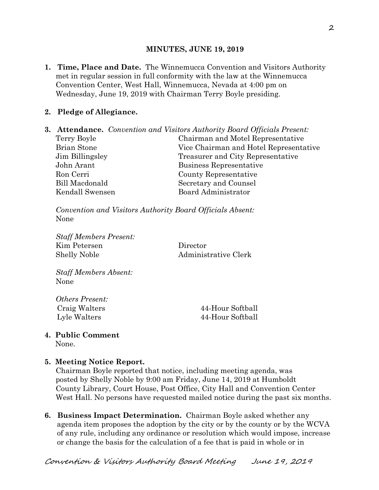#### **MINUTES, JUNE 19, 2019**

**1. Time, Place and Date.** The Winnemucca Convention and Visitors Authority met in regular session in full conformity with the law at the Winnemucca Convention Center, West Hall, Winnemucca, Nevada at 4:00 pm on Wednesday, June 19, 2019 with Chairman Terry Boyle presiding.

## **2. Pledge of Allegiance.**

**3. Attendance.** *Convention and Visitors Authority Board Officials Present:*  Terry Boyle Chairman and Motel Representative Brian Stone Vice Chairman and Hotel Representative Jim Billingsley Treasurer and City Representative John Arant Business Representative Ron Cerri County Representative Bill Macdonald Secretary and Counsel Kendall Swensen Board Administrator

*Convention and Visitors Authority Board Officials Absent:*  None

*Staff Members Present:*  Kim Petersen Director Shelly Noble Administrative Clerk

*Staff Members Absent:*  None

*Others Present:* 

 Craig Walters 44-Hour Softball Lyle Walters 44-Hour Softball

# **4. Public Comment**

None.

## **5. Meeting Notice Report.**

Chairman Boyle reported that notice, including meeting agenda, was posted by Shelly Noble by 9:00 am Friday, June 14, 2019 at Humboldt County Library, Court House, Post Office, City Hall and Convention Center West Hall. No persons have requested mailed notice during the past six months.

**6. Business Impact Determination.** Chairman Boyle asked whether any agenda item proposes the adoption by the city or by the county or by the WCVA of any rule, including any ordinance or resolution which would impose, increase or change the basis for the calculation of a fee that is paid in whole or in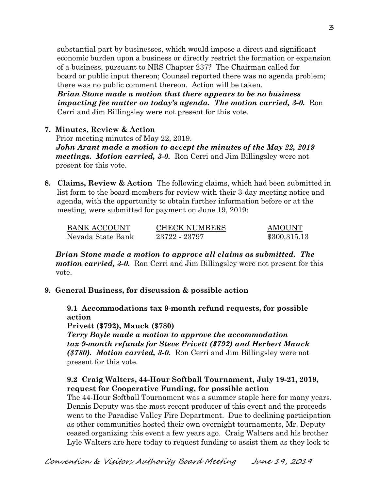substantial part by businesses, which would impose a direct and significant economic burden upon a business or directly restrict the formation or expansion of a business, pursuant to NRS Chapter 237? The Chairman called for board or public input thereon; Counsel reported there was no agenda problem; there was no public comment thereon. Action will be taken.

 *Brian Stone made a motion that there appears to be no business impacting fee matter on today's agenda. The motion carried, 3-0.* Ron Cerri and Jim Billingsley were not present for this vote.

## **7. Minutes, Review & Action**

Prior meeting minutes of May 22, 2019. *John Arant made a motion to accept the minutes of the May 22, 2019 meetings. Motion carried, 3-0.* Ron Cerri and Jim Billingsley were not present for this vote.

**8. Claims, Review & Action** The following claims, which had been submitted in list form to the board members for review with their 3-day meeting notice and agenda, with the opportunity to obtain further information before or at the meeting, were submitted for payment on June 19, 2019:

| BANK ACCOUNT      | <b>CHECK NUMBERS</b> | AMOUNT       |
|-------------------|----------------------|--------------|
| Nevada State Bank | 23722 - 23797        | \$300,315.13 |

*Brian Stone made a motion to approve all claims as submitted. The motion carried, 3-0.* Ron Cerri and Jim Billingsley were not present for this vote.

## **9. General Business, for discussion & possible action**

**9.1 Accommodations tax 9-month refund requests, for possible action**

**Privett (\$792), Mauck (\$780)** 

*Terry Boyle made a motion to approve the accommodation tax 9-month refunds for Steve Privett (\$792) and Herbert Mauck (\$780). Motion carried, 3-0.* Ron Cerri and Jim Billingsley were not present for this vote.

# **9.2 Craig Walters, 44-Hour Softball Tournament, July 19-21, 2019, request for Cooperative Funding, for possible action**

The 44-Hour Softball Tournament was a summer staple here for many years. Dennis Deputy was the most recent producer of this event and the proceeds went to the Paradise Valley Fire Department. Due to declining participation as other communities hosted their own overnight tournaments, Mr. Deputy ceased organizing this event a few years ago. Craig Walters and his brother Lyle Walters are here today to request funding to assist them as they look to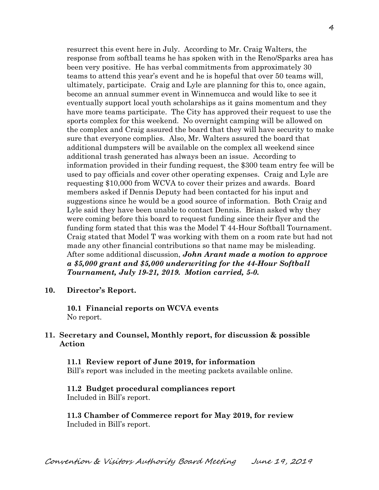resurrect this event here in July. According to Mr. Craig Walters, the response from softball teams he has spoken with in the Reno/Sparks area has been very positive. He has verbal commitments from approximately 30 teams to attend this year's event and he is hopeful that over 50 teams will, ultimately, participate. Craig and Lyle are planning for this to, once again, become an annual summer event in Winnemucca and would like to see it eventually support local youth scholarships as it gains momentum and they have more teams participate. The City has approved their request to use the sports complex for this weekend. No overnight camping will be allowed on the complex and Craig assured the board that they will have security to make sure that everyone complies. Also, Mr. Walters assured the board that additional dumpsters will be available on the complex all weekend since additional trash generated has always been an issue. According to information provided in their funding request, the \$300 team entry fee will be used to pay officials and cover other operating expenses. Craig and Lyle are requesting \$10,000 from WCVA to cover their prizes and awards. Board members asked if Dennis Deputy had been contacted for his input and suggestions since he would be a good source of information. Both Craig and Lyle said they have been unable to contact Dennis. Brian asked why they were coming before this board to request funding since their flyer and the funding form stated that this was the Model T 44-Hour Softball Tournament. Craig stated that Model T was working with them on a room rate but had not made any other financial contributions so that name may be misleading. After some additional discussion, *John Arant made a motion to approve a \$5,000 grant and \$5,000 underwriting for the 44-Hour Softball Tournament, July 19-21, 2019. Motion carried, 5-0.*

**10. Director's Report.** 

**10.1 Financial reports on WCVA events**  No report.

## **11. Secretary and Counsel, Monthly report, for discussion & possible Action**

 **11.1 Review report of June 2019, for information**  Bill's report was included in the meeting packets available online.

## **11.2 Budget procedural compliances report**

Included in Bill's report.

**11.3 Chamber of Commerce report for May 2019, for review**  Included in Bill's report.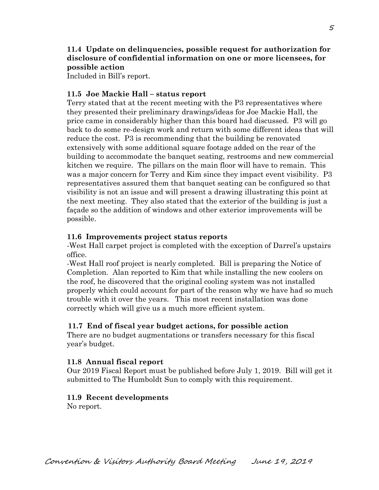# **11.4 Update on delinquencies, possible request for authorization for disclosure of confidential information on one or more licensees, for possible action**

Included in Bill's report.

## **11.5 Joe Mackie Hall – status report**

Terry stated that at the recent meeting with the P3 representatives where they presented their preliminary drawings/ideas for Joe Mackie Hall, the price came in considerably higher than this board had discussed. P3 will go back to do some re-design work and return with some different ideas that will reduce the cost. P3 is recommending that the building be renovated extensively with some additional square footage added on the rear of the building to accommodate the banquet seating, restrooms and new commercial kitchen we require. The pillars on the main floor will have to remain. This was a major concern for Terry and Kim since they impact event visibility. P3 representatives assured them that banquet seating can be configured so that visibility is not an issue and will present a drawing illustrating this point at the next meeting. They also stated that the exterior of the building is just a façade so the addition of windows and other exterior improvements will be possible.

#### **11.6 Improvements project status reports**

-West Hall carpet project is completed with the exception of Darrel's upstairs office.

 -West Hall roof project is nearly completed. Bill is preparing the Notice of Completion. Alan reported to Kim that while installing the new coolers on the roof, he discovered that the original cooling system was not installed properly which could account for part of the reason why we have had so much trouble with it over the years. This most recent installation was done correctly which will give us a much more efficient system.

## **11.7 End of fiscal year budget actions, for possible action**

There are no budget augmentations or transfers necessary for this fiscal year's budget.

## **11.8 Annual fiscal report**

Our 2019 Fiscal Report must be published before July 1, 2019. Bill will get it submitted to The Humboldt Sun to comply with this requirement.

## **11.9 Recent developments**

No report.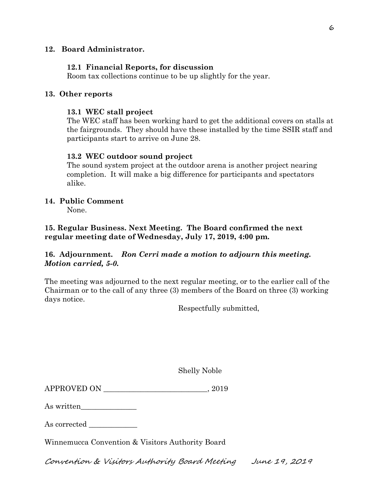## **12. Board Administrator.**

#### **12.1 Financial Reports, for discussion**

Room tax collections continue to be up slightly for the year.

#### **13. Other reports**

#### **13.1 WEC stall project**

The WEC staff has been working hard to get the additional covers on stalls at the fairgrounds. They should have these installed by the time SSIR staff and participants start to arrive on June 28.

## **13.2 WEC outdoor sound project**

The sound system project at the outdoor arena is another project nearing completion. It will make a big difference for participants and spectators alike.

#### **14. Public Comment**

None.

# **15. Regular Business. Next Meeting. The Board confirmed the next regular meeting date of Wednesday, July 17, 2019, 4:00 pm.**

# **16. Adjournment.** *Ron Cerri made a motion to adjourn this meeting. Motion carried, 5-0.*

The meeting was adjourned to the next regular meeting, or to the earlier call of the Chairman or to the call of any three (3) members of the Board on three (3) working days notice.

Respectfully submitted,

Shelly Noble

| APPROVED ON |  | . 2019 |
|-------------|--|--------|
|-------------|--|--------|

As written\_\_\_\_\_\_\_\_\_\_\_\_\_\_\_

As corrected  $\_\_$ 

Winnemucca Convention & Visitors Authority Board

Convention & Visitors Authority Board Meeting June 19, 2019